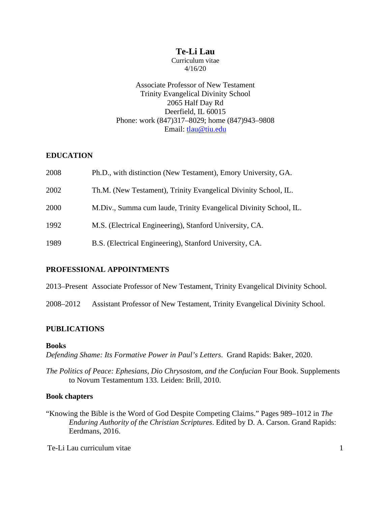# **Te-Li Lau**

### Curriculum vitae 4/16/20

Associate Professor of New Testament Trinity Evangelical Divinity School 2065 Half Day Rd Deerfield, IL 60015 Phone: work (847)317–8029; home (847)943–9808 Email: [tlau@tiu.edu](mailto:tlau@tiu.edu)

## **EDUCATION**

| 2008 | Ph.D., with distinction (New Testament), Emory University, GA.    |
|------|-------------------------------------------------------------------|
| 2002 | Th.M. (New Testament), Trinity Evangelical Divinity School, IL.   |
| 2000 | M.Div., Summa cum laude, Trinity Evangelical Divinity School, IL. |
| 1992 | M.S. (Electrical Engineering), Stanford University, CA.           |
| 1989 | B.S. (Electrical Engineering), Stanford University, CA.           |

## **PROFESSIONAL APPOINTMENTS**

2013–Present Associate Professor of New Testament, Trinity Evangelical Divinity School.

2008–2012 Assistant Professor of New Testament, Trinity Evangelical Divinity School.

# **PUBLICATIONS**

## **Books**

*Defending Shame: Its Formative Power in Paul's Letters*. Grand Rapids: Baker, 2020.

*The Politics of Peace: Ephesians, Dio Chrysostom, and the Confucian Four Book. Supplements* to Novum Testamentum 133. Leiden: Brill, 2010.

## **Book chapters**

"Knowing the Bible is the Word of God Despite Competing Claims." Pages 989–1012 in *The Enduring Authority of the Christian Scriptures*. Edited by D. A. Carson. Grand Rapids: Eerdmans, 2016.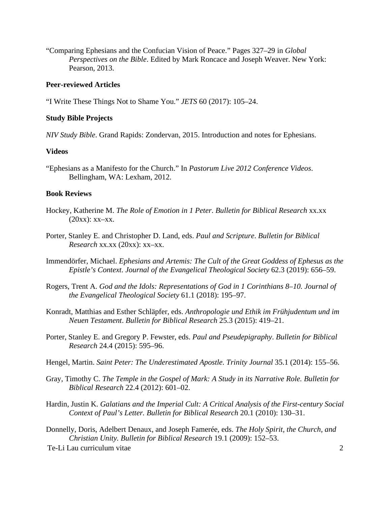"Comparing Ephesians and the Confucian Vision of Peace." Pages 327–29 in *Global Perspectives on the Bible*. Edited by Mark Roncace and Joseph Weaver. New York: Pearson, 2013.

#### **Peer-reviewed Articles**

"I Write These Things Not to Shame You." *JETS* 60 (2017): 105–24.

#### **Study Bible Projects**

*NIV Study Bible*. Grand Rapids: Zondervan, 2015. Introduction and notes for Ephesians.

#### **Videos**

"Ephesians as a Manifesto for the Church." In *Pastorum Live 2012 Conference Videos*. Bellingham, WA: Lexham, 2012.

## **Book Reviews**

- Hockey, Katherine M. *The Role of Emotion in 1 Peter*. *Bulletin for Biblical Research* xx.xx  $(20xx): xx-xx.$
- Porter, Stanley E. and Christopher D. Land, eds. *Paul and Scripture*. *Bulletin for Biblical Research* xx.xx (20xx): xx–xx.
- Immendörfer, Michael. *Ephesians and Artemis: The Cult of the Great Goddess of Ephesus as the Epistle's Context*. *Journal of the Evangelical Theological Society* 62.3 (2019): 656–59.
- Rogers, Trent A. *God and the Idols: Representations of God in 1 Corinthians 8–10. Journal of the Evangelical Theological Society* 61.1 (2018): 195–97.
- Konradt, Matthias and Esther Schläpfer, eds. *Anthropologie und Ethik im Frühjudentum und im Neuen Testament*. *Bulletin for Biblical Research* 25.3 (2015): 419–21.
- Porter, Stanley E. and Gregory P. Fewster, eds. *Paul and Pseudepigraphy*. *Bulletin for Biblical Research* 24.4 (2015): 595–96.
- Hengel, Martin. *Saint Peter: The Underestimated Apostle*. *Trinity Journal* 35.1 (2014): 155–56.
- Gray, Timothy C. *The Temple in the Gospel of Mark: A Study in its Narrative Role. Bulletin for Biblical Research* 22.4 (2012): 601–02.
- Hardin, Justin K. *Galatians and the Imperial Cult: A Critical Analysis of the First-century Social Context of Paul's Letter. Bulletin for Biblical Research* 20.1 (2010): 130–31.
- Te-Li Lau curriculum vitae 2 Donnelly, Doris, Adelbert Denaux, and Joseph Famerée, eds. *The Holy Spirit, the Church, and Christian Unity. Bulletin for Biblical Research* 19.1 (2009): 152–53.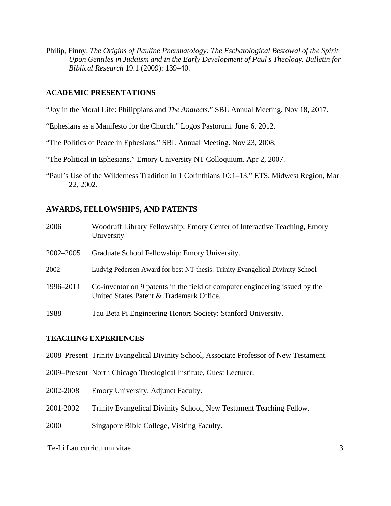Philip, Finny. *The Origins of Pauline Pneumatology: The Eschatological Bestowal of the Spirit Upon Gentiles in Judaism and in the Early Development of Paul's Theology. Bulletin for Biblical Research* 19.1 (2009): 139–40.

## **ACADEMIC PRESENTATIONS**

- "Joy in the Moral Life: Philippians and *The Analects*." SBL Annual Meeting. Nov 18, 2017.
- "Ephesians as a Manifesto for the Church." Logos Pastorum. June 6, 2012.
- "The Politics of Peace in Ephesians." SBL Annual Meeting. Nov 23, 2008.
- "The Political in Ephesians." Emory University NT Colloquium. Apr 2, 2007.
- "Paul's Use of the Wilderness Tradition in 1 Corinthians 10:1–13." ETS, Midwest Region, Mar 22, 2002.

## **AWARDS, FELLOWSHIPS, AND PATENTS**

| 2006      | Woodruff Library Fellowship: Emory Center of Interactive Teaching, Emory<br>University                                  |
|-----------|-------------------------------------------------------------------------------------------------------------------------|
| 2002–2005 | Graduate School Fellowship: Emory University.                                                                           |
| 2002      | Ludvig Pedersen Award for best NT thesis: Trinity Evangelical Divinity School                                           |
| 1996–2011 | Co-inventor on 9 patents in the field of computer engineering issued by the<br>United States Patent & Trademark Office. |
| 1988      | Tau Beta Pi Engineering Honors Society: Stanford University.                                                            |

#### **TEACHING EXPERIENCES**

- 2008–Present Trinity Evangelical Divinity School, Associate Professor of New Testament.
- 2009–Present North Chicago Theological Institute, Guest Lecturer.
- 2002-2008 Emory University, Adjunct Faculty.
- 2001-2002 Trinity Evangelical Divinity School, New Testament Teaching Fellow.
- 2000 Singapore Bible College, Visiting Faculty.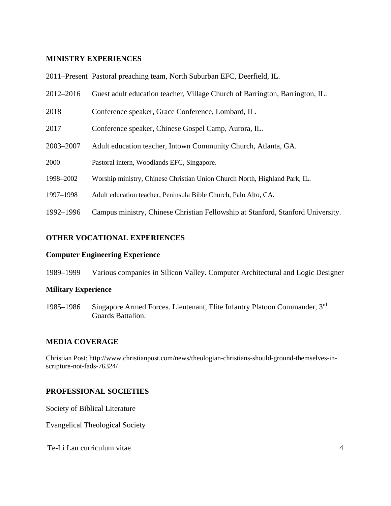### **MINISTRY EXPERIENCES**

2011–Present Pastoral preaching team, North Suburban EFC, Deerfield, IL.

- 2012–2016 Guest adult education teacher, Village Church of Barrington, Barrington, IL.
- 2018 Conference speaker, Grace Conference, Lombard, IL.
- 2017 Conference speaker, Chinese Gospel Camp, Aurora, IL.
- 2003–2007 Adult education teacher, Intown Community Church, Atlanta, GA.
- 2000 Pastoral intern, Woodlands EFC, Singapore.
- 1998–2002 Worship ministry, Chinese Christian Union Church North, Highland Park, IL.
- 1997–1998 Adult education teacher, Peninsula Bible Church, Palo Alto, CA.
- 1992–1996 Campus ministry, Chinese Christian Fellowship at Stanford, Stanford University.

### **OTHER VOCATIONAL EXPERIENCES**

#### **Computer Engineering Experience**

1989–1999 Various companies in Silicon Valley. Computer Architectural and Logic Designer

#### **Military Experience**

1985–1986 Singapore Armed Forces. Lieutenant, Elite Infantry Platoon Commander, 3rd Guards Battalion.

## **MEDIA COVERAGE**

Christian Post: http://www.christianpost.com/news/theologian-christians-should-ground-themselves-inscripture-not-fads-76324/

## **PROFESSIONAL SOCIETIES**

Society of Biblical Literature

Evangelical Theological Society